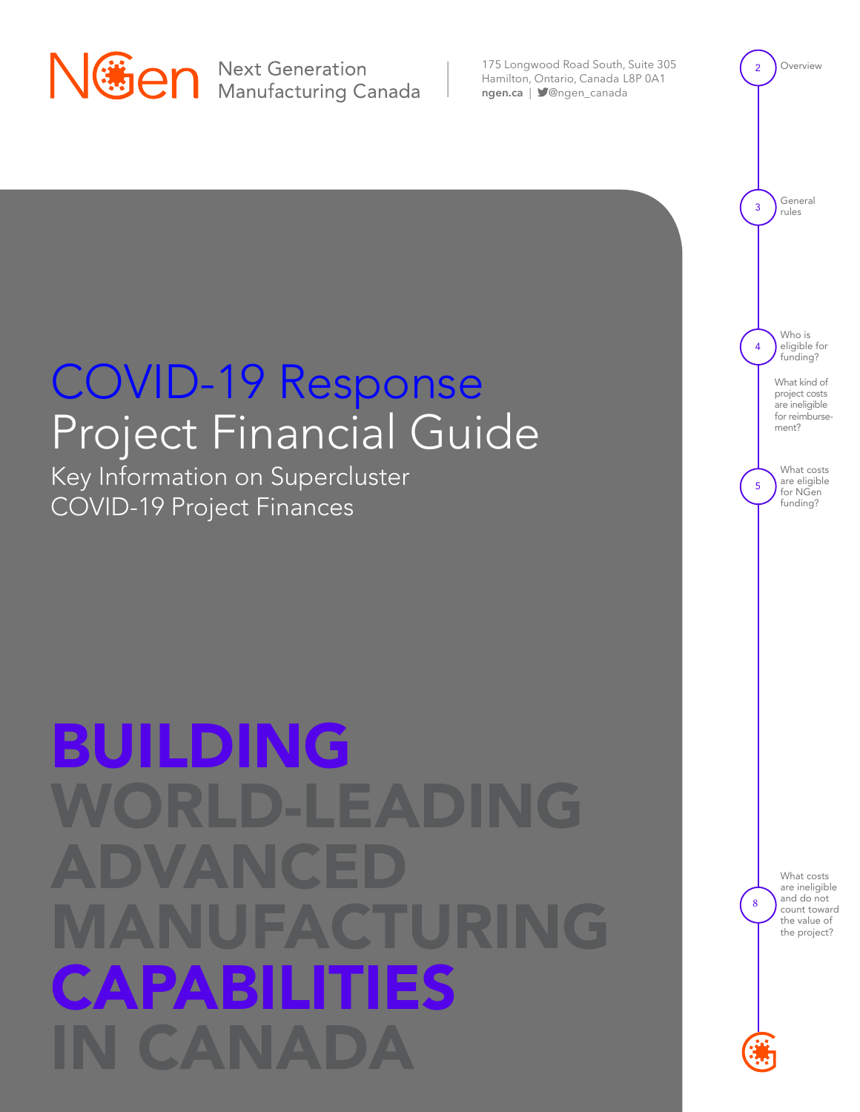

175 Longwood Road South, Suite 305 Hamilton, Ontario, Canada L8P 0A1 [ngen.ca](https://www.ngen.ca/) | **S**@ngen\_canada

## COVID-19 Response Project Financial Guide

Key Information on Supercluster COVID-19 Project Finances

## BUILDING WORLD-LEADING ADVANCED<sub>.</sub> transformation to advanced manufacturing will enrich the lives of Canadians, delivering better products and good jobs while generating the economic growth essential to a better future. advanced manufacturing capabilities in Canada

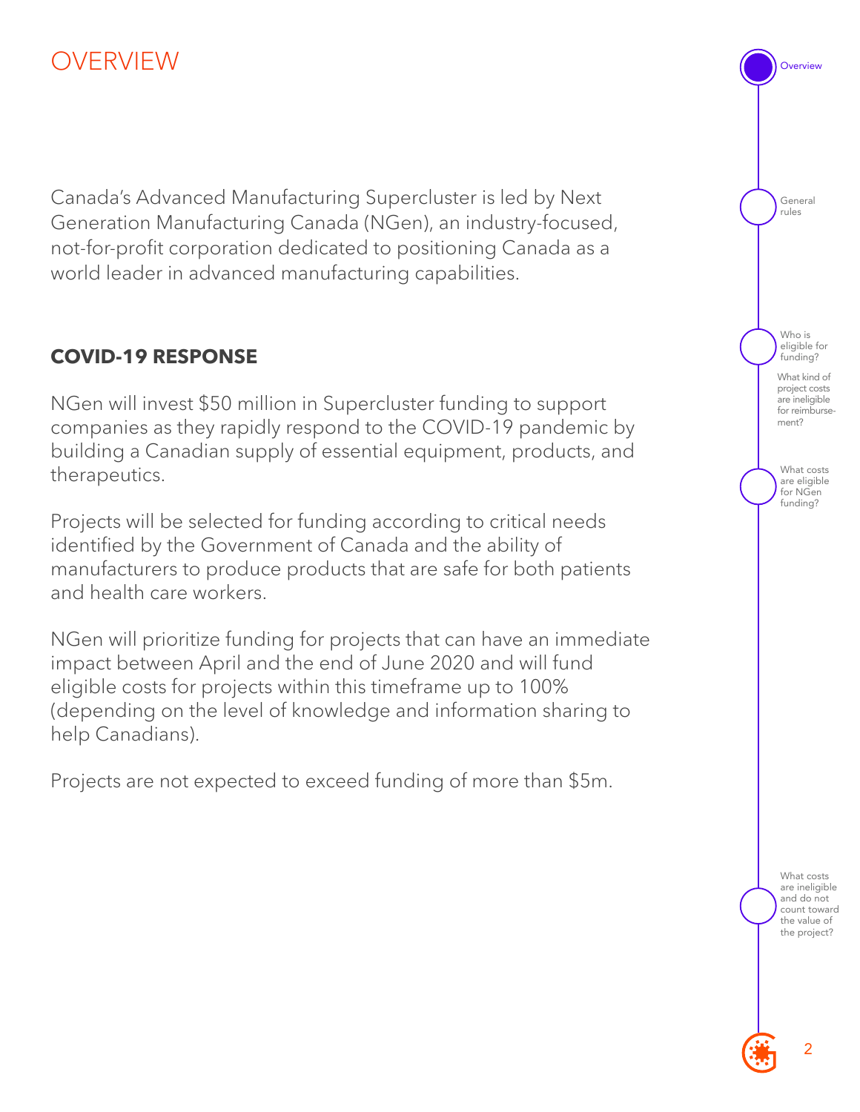## <span id="page-1-0"></span>OVERVIEW

Canada's Advanced Manufacturing Supercluster is led by Next Generation Manufacturing Canada (NGen), an industry-focused, not-for-profit corporation dedicated to positioning Canada as a world leader in advanced manufacturing capabilities.

#### **COVID-19 RESPONSE**

NGen will invest \$50 million in Supercluster funding to support companies as they rapidly respond to the COVID-19 pandemic by building a Canadian supply of essential equipment, products, and therapeutics.

Projects will be selected for funding according to critical needs identified by the Government of Canada and the ability of manufacturers to produce products that are safe for both patients and health care workers.

NGen will prioritize funding for projects that can have an immediate impact between April and the end of June 2020 and will fund eligible costs for projects within this timeframe up to 100% (depending on the level of knowledge and information sharing to help Canadians).

Projects are not expected to exceed funding of more than \$5m.

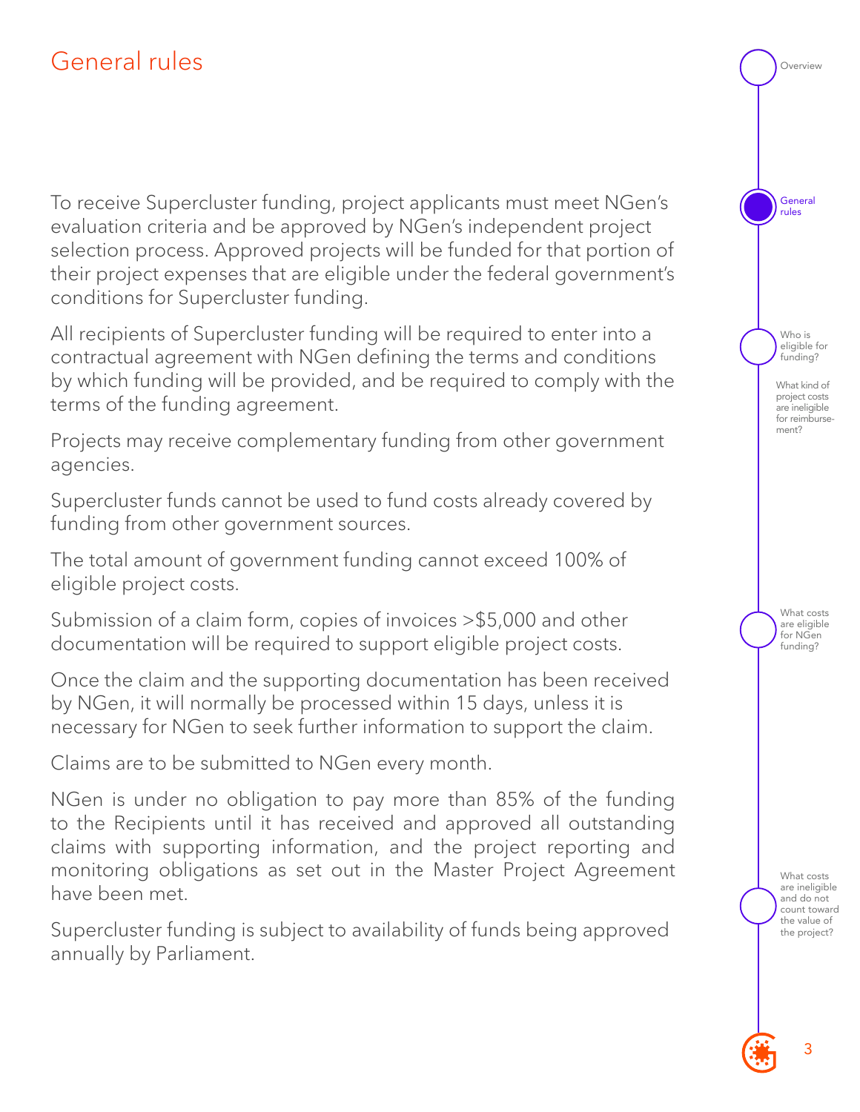## <span id="page-2-0"></span>General rules

To receive Supercluster funding, project applicants must meet NGen's evaluation criteria and be approved by NGen's independent project selection process. Approved projects will be funded for that portion of their project expenses that are eligible under the federal government's conditions for Supercluster funding.

All recipients of Supercluster funding will be required to enter into a contractual agreement with NGen defining the terms and conditions by which funding will be provided, and be required to comply with the terms of the funding agreement.

Projects may receive complementary funding from other government agencies.

Supercluster funds cannot be used to fund costs already covered by funding from other government sources.

The total amount of government funding cannot exceed 100% of eligible project costs.

Submission of a claim form, copies of invoices >\$5,000 and other documentation will be required to support eligible project costs.

Once the claim and the supporting documentation has been received by NGen, it will normally be processed within 15 days, unless it is necessary for NGen to seek further information to support the claim.

Claims are to be submitted to NGen every month.

NGen is under no obligation to pay more than 85% of the funding to the Recipients until it has received and approved all outstanding claims with supporting information, and the project reporting and monitoring obligations as set out in the Master Project Agreement have been met.

Supercluster funding is subject to availability of funds being approved annually by Parliament.

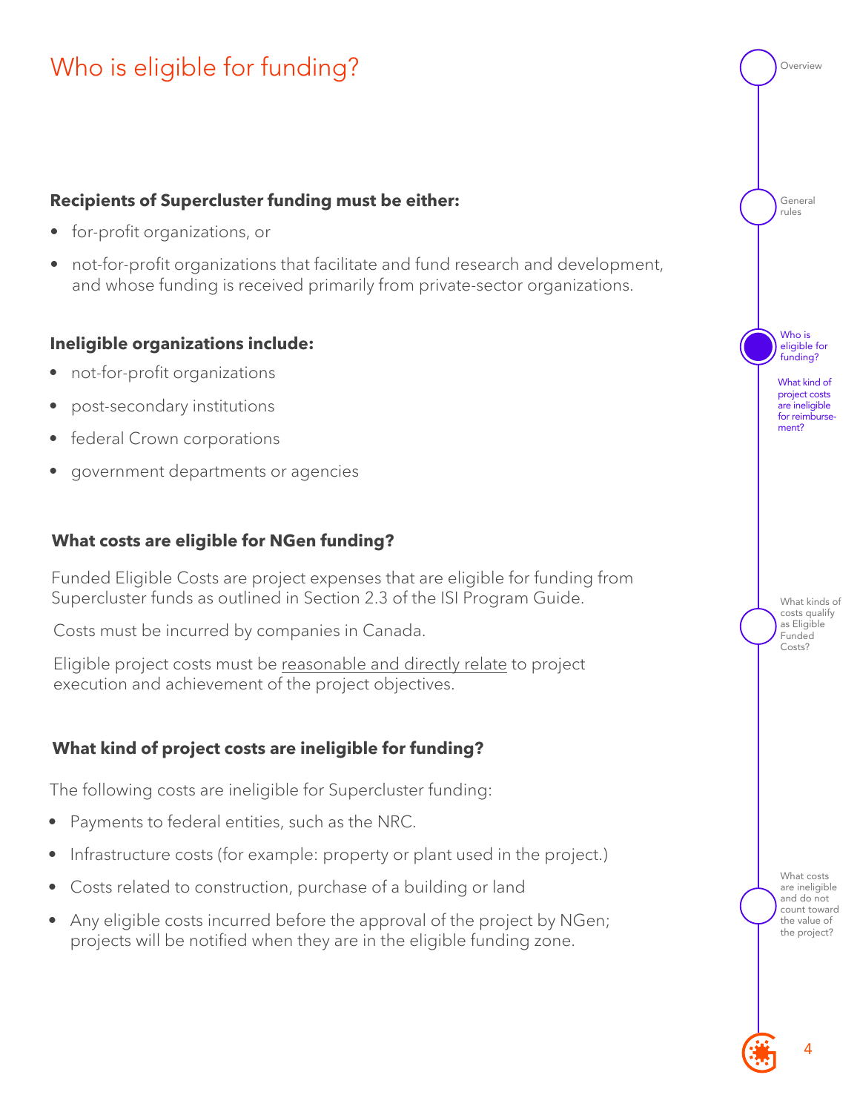## <span id="page-3-0"></span>Who is eligible for funding?

#### **Recipients of Supercluster funding must be either:**

- for-profit organizations, or
- not-for-profit organizations that facilitate and fund research and development, and whose funding is received primarily from private-sector organizations.

#### **Ineligible organizations include:**

- not-for-profit organizations
- post-secondary institutions
- federal Crown corporations
- government departments or agencies

#### **What costs are eligible for NGen funding?**

Funded Eligible Costs are project expenses that are eligible for funding from Supercluster funds as outlined in Section 2.3 of the ISI Program Guide.

Costs must be incurred by companies in Canada.

Eligible project costs must be reasonable and directly relate to project execution and achievement of the project objectives.

#### **What kind of project costs are ineligible for funding?**

The following costs are ineligible for Supercluster funding:

- Payments to federal entities, such as the NRC.
- Infrastructure costs (for example: property or plant used in the project.)
- Costs related to construction, purchase of a building or land
- Any eligible costs incurred before the approval of the project by NGen; projects will be notified when they are in the eligible funding zone.

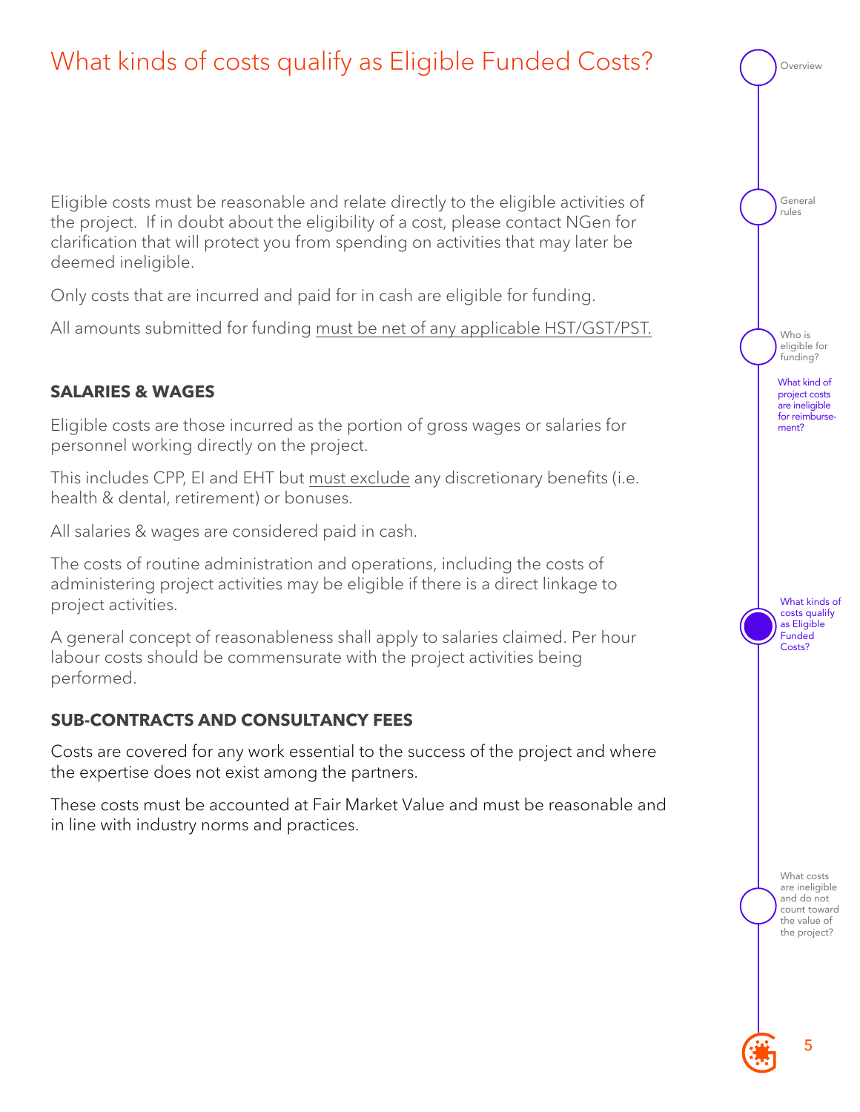## What kinds of costs qualify as Eligible Funded Costs?

Eligible costs must be reasonable and relate directly to the eligible activities of the project. If in doubt about the eligibility of a cost, please contact NGen for clarification that will protect you from spending on activities that may later be deemed ineligible.

Only costs that are incurred and paid for in cash are eligible for funding.

All amounts submitted for funding must be net of any applicable HST/GST/PST.

#### **SALARIES & WAGES**

Eligible costs are those incurred as the portion of gross wages or salaries for personnel working directly on the project.

This includes CPP, EI and EHT but must exclude any discretionary benefits (i.e. health & dental, retirement) or bonuses.

All salaries & wages are considered paid in cash.

The costs of routine administration and operations, including the costs of administering project activities may be eligible if there is a direct linkage to project activities.

A general concept of reasonableness shall apply to salaries claimed. Per hour labour costs should be commensurate with the project activities being performed.

#### **SUB-CONTRACTS AND CONSULTANCY FEES**

Costs are covered for any work essential to the success of the project and where the expertise does not exist among the partners.

These costs must be accounted at Fair Market Value and must be reasonable and in line with industry norms and practices.

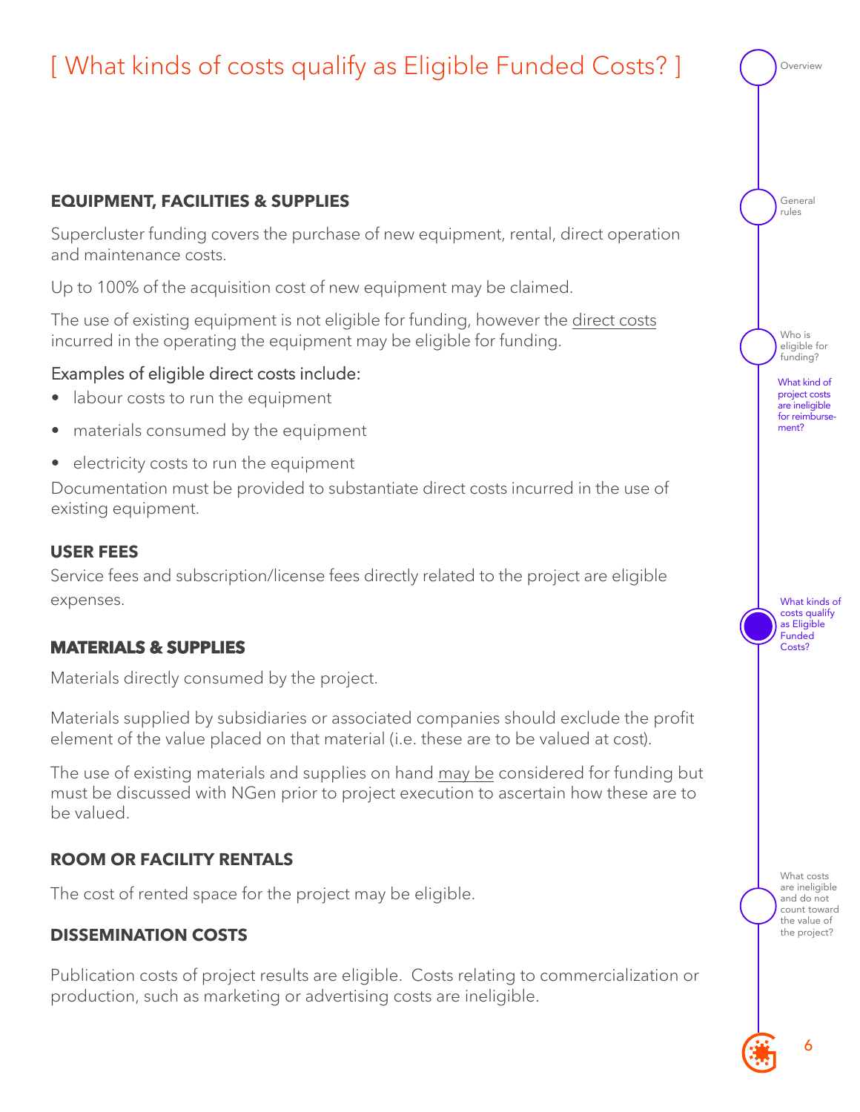

#### **DISSEMINATION COSTS**

Publication costs of project results are eligible. Costs relating to commercialization or production, such as marketing or advertising costs are ineligible.

the project?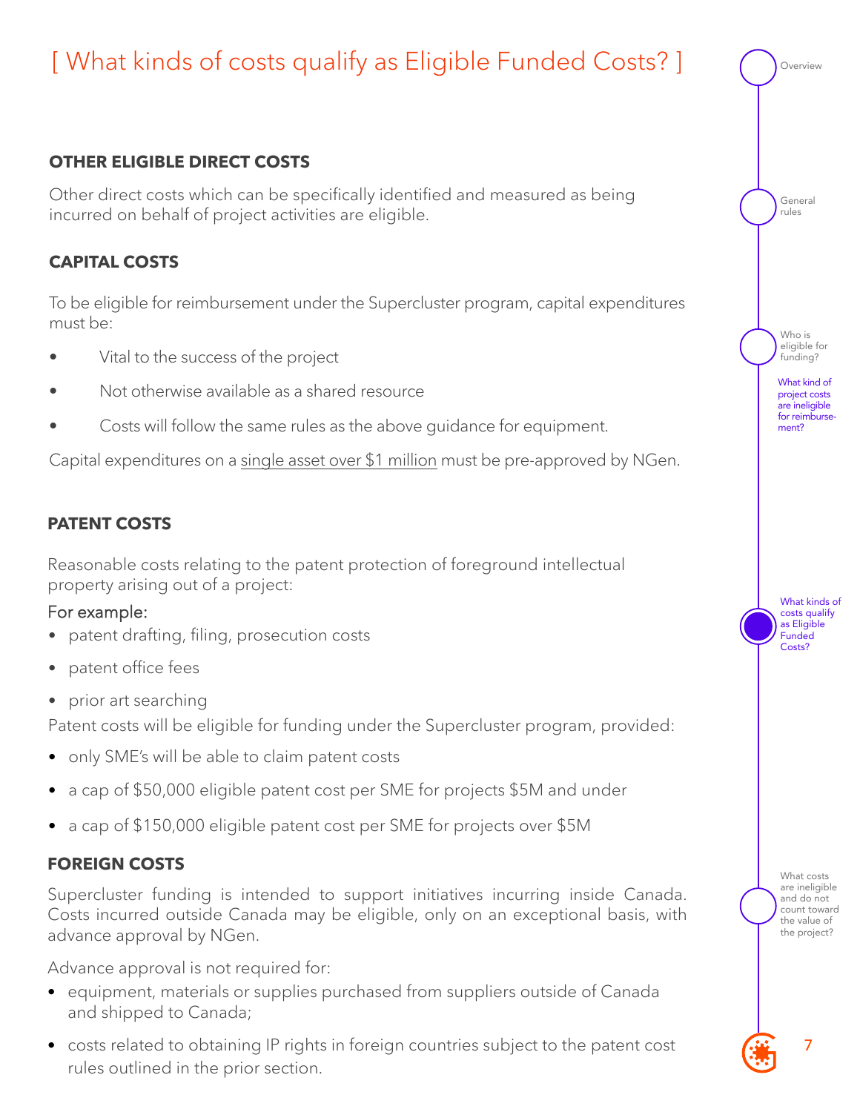## [ What kinds of costs qualify as Eligible Funded Costs? ]

#### **OTHER ELIGIBLE DIRECT COSTS**

Other direct costs which can be specifically identified and measured as being incurred on behalf of project activities are eligible.

#### **CAPITAL COSTS**

To be eligible for reimbursement under the Supercluster program, capital expenditures must be:

- Vital to the success of the project
- Not otherwise available as a shared resource
- Costs will follow the same rules as the above guidance for equipment.

Capital expenditures on a single asset over \$1 million must be pre-approved by NGen.

#### **PATENT COSTS**

Reasonable costs relating to the patent protection of foreground intellectual property arising out of a project:

#### For example:

- patent drafting, filing, prosecution costs
- patent office fees
- prior art searching

Patent costs will be eligible for funding under the Supercluster program, provided:

- only SME's will be able to claim patent costs
- a cap of \$50,000 eligible patent cost per SME for projects \$5M and under
- a cap of \$150,000 eligible patent cost per SME for projects over \$5M

#### **FOREIGN COSTS**

Supercluster funding is intended to support initiatives incurring inside Canada. Costs incurred outside Canada may be eligible, only on an exceptional basis, with advance approval by NGen.

Advance approval is not required for:

- equipment, materials or supplies purchased from suppliers outside of Canada and shipped to Canada;
- costs related to obtaining IP rights in foreign countries subject to the patent cost rules outlined in the prior section.

| verview                                                                                                          |
|------------------------------------------------------------------------------------------------------------------|
| General<br>rules                                                                                                 |
| Who is<br>eligible for<br>funding?<br>What kind of<br>project costs<br>are ineligible<br>for reimburse-<br>ment? |
| What kinds of<br>costs qualify<br>as Eligible<br>Funded<br>Costs?                                                |
| What costs<br>are ineligible<br>and do not<br>count toward<br>the value of<br>the project?                       |
|                                                                                                                  |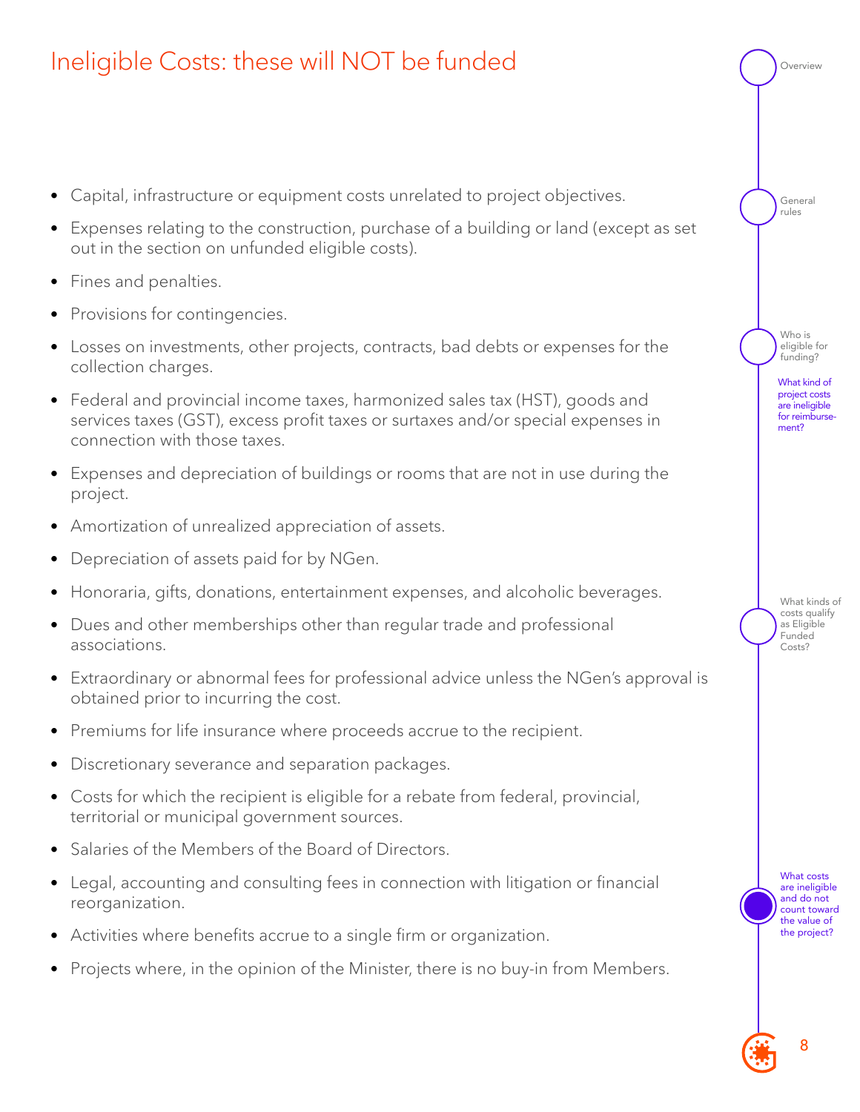

### <span id="page-7-0"></span>Ineligible Costs: these will NOT be funded

- Capital, infrastructure or equipment costs unrelated to project objectives.
- Expenses relating to the construction, purchase of a building or land (except as set out in the section on unfunded eligible costs).
- Fines and penalties.
- Provisions for contingencies.
- Losses on investments, other projects, contracts, bad debts or expenses for the collection charges.
- Federal and provincial income taxes, harmonized sales tax (HST), goods and services taxes (GST), excess profit taxes or surtaxes and/or special expenses in connection with those taxes.
- Expenses and depreciation of buildings or rooms that are not in use during the project.
- Amortization of unrealized appreciation of assets.
- Depreciation of assets paid for by NGen.
- Honoraria, gifts, donations, entertainment expenses, and alcoholic beverages.
- Dues and other memberships other than regular trade and professional associations.
- Extraordinary or abnormal fees for professional advice unless the NGen's approval is obtained prior to incurring the cost.
- Premiums for life insurance where proceeds accrue to the recipient.
- Discretionary severance and separation packages.
- Costs for which the recipient is eligible for a rebate from federal, provincial, territorial or municipal government sources.
- Salaries of the Members of the Board of Directors.
- Legal, accounting and consulting fees in connection with litigation or financial reorganization.
- Activities where benefits accrue to a single firm or organization.
- Projects where, in the opinion of the Minister, there is no buy-in from Members.